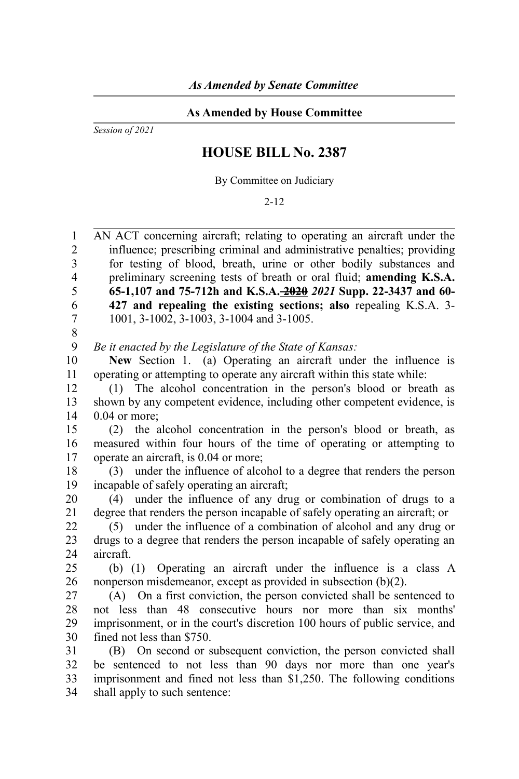## **As Amended by House Committee**

*Session of 2021*

## **HOUSE BILL No. 2387**

By Committee on Judiciary

2-12

AN ACT concerning aircraft; relating to operating an aircraft under the influence; prescribing criminal and administrative penalties; providing for testing of blood, breath, urine or other bodily substances and preliminary screening tests of breath or oral fluid; **amending K.S.A. 65-1,107 and 75-712h and K.S.A. 2020** *2021* **Supp. 22-3437 and 60- 427 and repealing the existing sections; also** repealing K.S.A. 3- 1001, 3-1002, 3-1003, 3-1004 and 3-1005. 1  $\mathfrak{D}$ 3 4 5 6 7

8

*Be it enacted by the Legislature of the State of Kansas:* 9

**New** Section 1. (a) Operating an aircraft under the influence is operating or attempting to operate any aircraft within this state while: 10 11

(1) The alcohol concentration in the person's blood or breath as shown by any competent evidence, including other competent evidence, is 0.04 or more; 12 13 14

(2) the alcohol concentration in the person's blood or breath, as measured within four hours of the time of operating or attempting to operate an aircraft, is 0.04 or more; 15 16 17

(3) under the influence of alcohol to a degree that renders the person incapable of safely operating an aircraft; 18 19

(4) under the influence of any drug or combination of drugs to a degree that renders the person incapable of safely operating an aircraft; or 20 21

(5) under the influence of a combination of alcohol and any drug or drugs to a degree that renders the person incapable of safely operating an aircraft. 22 23  $24$ 

(b) (1) Operating an aircraft under the influence is a class A nonperson misdemeanor, except as provided in subsection (b)(2). 25 26

(A) On a first conviction, the person convicted shall be sentenced to not less than 48 consecutive hours nor more than six months' imprisonment, or in the court's discretion 100 hours of public service, and fined not less than \$750. 27 28 29 30

(B) On second or subsequent conviction, the person convicted shall be sentenced to not less than 90 days nor more than one year's imprisonment and fined not less than \$1,250. The following conditions shall apply to such sentence: 31 32 33 34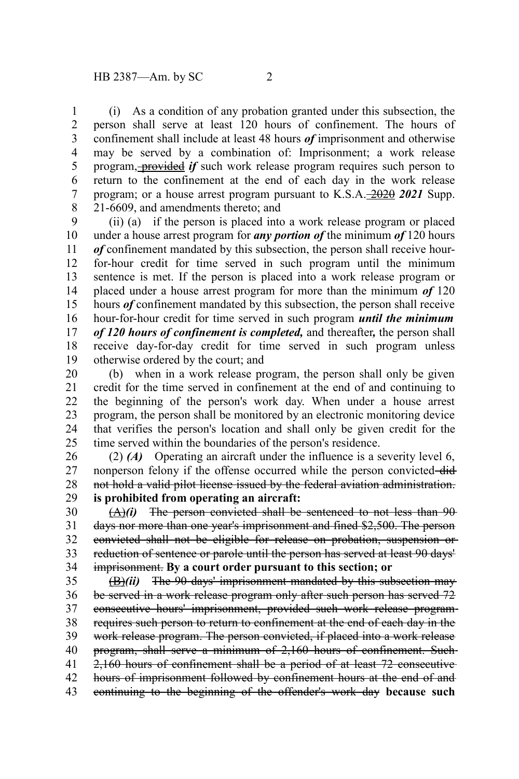(i) As a condition of any probation granted under this subsection, the person shall serve at least 120 hours of confinement. The hours of confinement shall include at least 48 hours *of* imprisonment and otherwise may be served by a combination of: Imprisonment; a work release program, provided *if* such work release program requires such person to return to the confinement at the end of each day in the work release program; or a house arrest program pursuant to K.S.A. 2020 *2021* Supp. 21-6609, and amendments thereto; and 1 2 3 4 5 6 7 8

(ii) (a) if the person is placed into a work release program or placed under a house arrest program for *any portion of* the minimum *of* 120 hours *of* confinement mandated by this subsection, the person shall receive hourfor-hour credit for time served in such program until the minimum sentence is met. If the person is placed into a work release program or placed under a house arrest program for more than the minimum *of* 120 hours *of* confinement mandated by this subsection, the person shall receive hour-for-hour credit for time served in such program *until the minimum of 120 hours of confinement is completed,* and thereafter*,* the person shall receive day-for-day credit for time served in such program unless otherwise ordered by the court; and 9 10 11 12 13 14 15 16 17 18 19

(b) when in a work release program, the person shall only be given credit for the time served in confinement at the end of and continuing to the beginning of the person's work day. When under a house arrest program, the person shall be monitored by an electronic monitoring device that verifies the person's location and shall only be given credit for the time served within the boundaries of the person's residence. 20 21 22 23 24 25

(2) *(A)* Operating an aircraft under the influence is a severity level 6, nonperson felony if the offense occurred while the person convicted-didnot hold a valid pilot license issued by the federal aviation administration. **is prohibited from operating an aircraft:** 26 27 28 29

(A)*(i)* The person convicted shall be sentenced to not less than 90 days nor more than one year's imprisonment and fined \$2,500. The person convicted shall not be eligible for release on probation, suspension or reduction of sentence or parole until the person has served at least 90 days' imprisonment. **By a court order pursuant to this section; or** 30 31 32 33 34

(B)*(ii)* The 90 days' imprisonment mandated by this subsection may be served in a work release program only after such person has served 72 consecutive hours' imprisonment, provided such work release program requires such person to return to confinement at the end of each day in the work release program. The person convicted, if placed into a work release program, shall serve a minimum of 2,160 hours of confinement. Such 2,160 hours of confinement shall be a period of at least 72 consecutive hours of imprisonment followed by confinement hours at the end of and continuing to the beginning of the offender's work day **because such** 35 36 37 38 39 40 41 42 43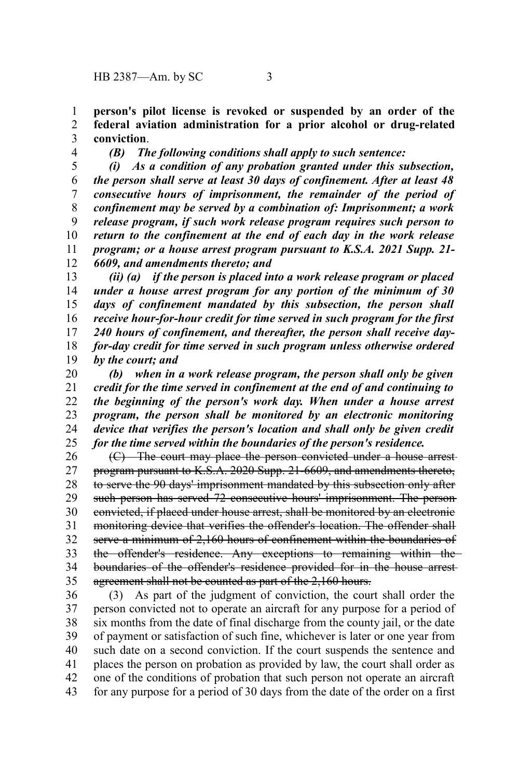**person's pilot license is revoked or suspended by an order of the federal aviation administration for a prior alcohol or drug-related conviction**. 1 2 3

4

*(B) The following conditions shall apply to such sentence:*

*(i) As a condition of any probation granted under this subsection, the person shall serve at least 30 days of confinement. After at least 48 consecutive hours of imprisonment, the remainder of the period of confinement may be served by a combination of: Imprisonment; a work release program, if such work release program requires such person to return to the confinement at the end of each day in the work release program; or a house arrest program pursuant to K.S.A. 2021 Supp. 21- 6609, and amendments thereto; and* 5 6 7 8 9 10 11 12

*(ii) (a) if the person is placed into a work release program or placed under a house arrest program for any portion of the minimum of 30 days of confinement mandated by this subsection, the person shall receive hour-for-hour credit for time served in such program for the first 240 hours of confinement, and thereafter, the person shall receive dayfor-day credit for time served in such program unless otherwise ordered by the court; and* 13 14 15 16 17 18 19

*(b) when in a work release program, the person shall only be given credit for the time served in confinement at the end of and continuing to the beginning of the person's work day. When under a house arrest program, the person shall be monitored by an electronic monitoring device that verifies the person's location and shall only be given credit for the time served within the boundaries of the person's residence.* 20 21 22 23 24 25

(C) The court may place the person convicted under a house arrest program pursuant to K.S.A. 2020 Supp. 21-6609, and amendments thereto, to serve the 90 days' imprisonment mandated by this subsection only after such person has served 72 consecutive hours' imprisonment. The personconvicted, if placed under house arrest, shall be monitored by an electronic monitoring device that verifies the offender's location. The offender shall serve a minimum of 2,160 hours of confinement within the boundaries of the offender's residence. Any exceptions to remaining within the boundaries of the offender's residence provided for in the house arrest agreement shall not be counted as part of the 2,160 hours. 26 27 28 29 30 31 32 33 34 35

(3) As part of the judgment of conviction, the court shall order the person convicted not to operate an aircraft for any purpose for a period of six months from the date of final discharge from the county jail, or the date of payment or satisfaction of such fine, whichever is later or one year from such date on a second conviction. If the court suspends the sentence and places the person on probation as provided by law, the court shall order as one of the conditions of probation that such person not operate an aircraft for any purpose for a period of 30 days from the date of the order on a first 36 37 38 39 40 41 42 43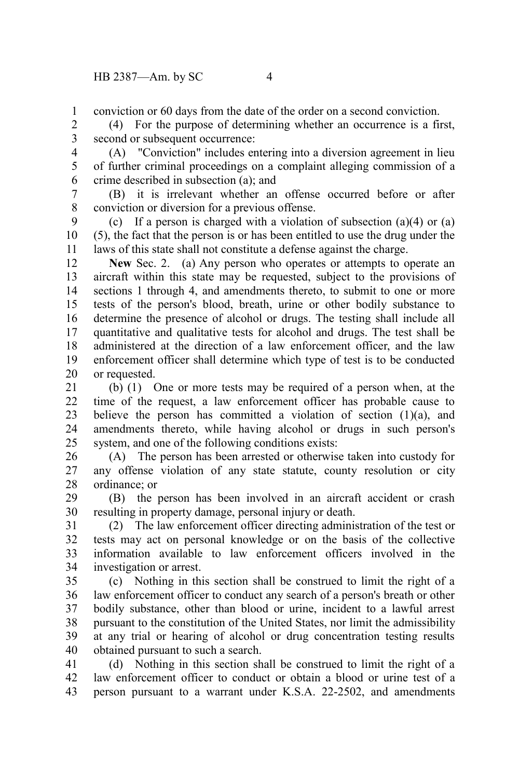conviction or 60 days from the date of the order on a second conviction. 1

(4) For the purpose of determining whether an occurrence is a first, second or subsequent occurrence: 2 3

(A) "Conviction" includes entering into a diversion agreement in lieu of further criminal proceedings on a complaint alleging commission of a crime described in subsection (a); and 4 5 6

(B) it is irrelevant whether an offense occurred before or after conviction or diversion for a previous offense. 7 8

(c) If a person is charged with a violation of subsection  $(a)(4)$  or  $(a)$ (5), the fact that the person is or has been entitled to use the drug under the laws of this state shall not constitute a defense against the charge. 9 10 11

**New** Sec. 2. (a) Any person who operates or attempts to operate an aircraft within this state may be requested, subject to the provisions of sections 1 through 4, and amendments thereto, to submit to one or more tests of the person's blood, breath, urine or other bodily substance to determine the presence of alcohol or drugs. The testing shall include all quantitative and qualitative tests for alcohol and drugs. The test shall be administered at the direction of a law enforcement officer, and the law enforcement officer shall determine which type of test is to be conducted or requested. 12 13 14 15 16 17 18 19 20

(b) (1) One or more tests may be required of a person when, at the time of the request, a law enforcement officer has probable cause to believe the person has committed a violation of section  $(1)(a)$ , and amendments thereto, while having alcohol or drugs in such person's system, and one of the following conditions exists: 21 22 23 24 25

(A) The person has been arrested or otherwise taken into custody for any offense violation of any state statute, county resolution or city ordinance; or 26 27 28

(B) the person has been involved in an aircraft accident or crash resulting in property damage, personal injury or death. 29 30

(2) The law enforcement officer directing administration of the test or tests may act on personal knowledge or on the basis of the collective information available to law enforcement officers involved in the investigation or arrest. 31 32 33 34

(c) Nothing in this section shall be construed to limit the right of a law enforcement officer to conduct any search of a person's breath or other bodily substance, other than blood or urine, incident to a lawful arrest pursuant to the constitution of the United States, nor limit the admissibility at any trial or hearing of alcohol or drug concentration testing results obtained pursuant to such a search. 35 36 37 38 39 40

(d) Nothing in this section shall be construed to limit the right of a law enforcement officer to conduct or obtain a blood or urine test of a person pursuant to a warrant under K.S.A. 22-2502, and amendments 41 42 43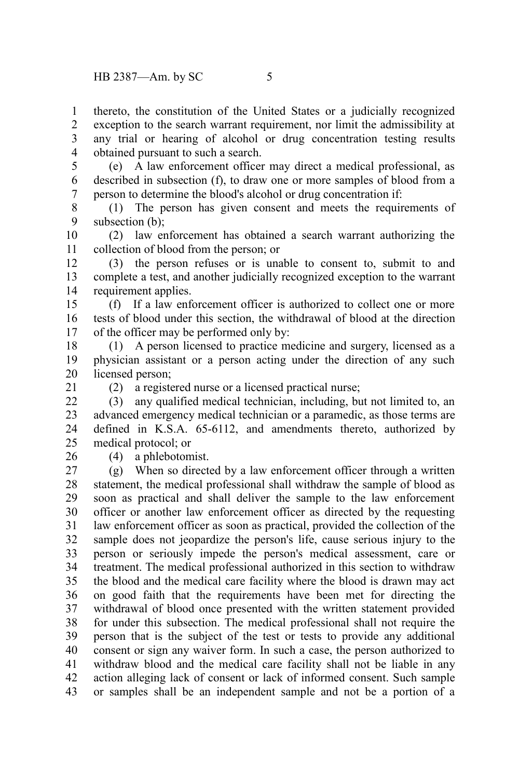thereto, the constitution of the United States or a judicially recognized exception to the search warrant requirement, nor limit the admissibility at any trial or hearing of alcohol or drug concentration testing results obtained pursuant to such a search. 1 2 3 4

(e) A law enforcement officer may direct a medical professional, as described in subsection (f), to draw one or more samples of blood from a person to determine the blood's alcohol or drug concentration if: 5 6 7

(1) The person has given consent and meets the requirements of subsection (b): 8 9

(2) law enforcement has obtained a search warrant authorizing the collection of blood from the person; or 10 11

(3) the person refuses or is unable to consent to, submit to and complete a test, and another judicially recognized exception to the warrant requirement applies. 12 13 14

(f) If a law enforcement officer is authorized to collect one or more tests of blood under this section, the withdrawal of blood at the direction of the officer may be performed only by: 15 16 17

(1) A person licensed to practice medicine and surgery, licensed as a physician assistant or a person acting under the direction of any such licensed person; 18 19 20

21

(2) a registered nurse or a licensed practical nurse;

(3) any qualified medical technician, including, but not limited to, an advanced emergency medical technician or a paramedic, as those terms are defined in K.S.A. 65-6112, and amendments thereto, authorized by medical protocol; or  $22$ 23 24 25

26

(4) a phlebotomist.

(g) When so directed by a law enforcement officer through a written statement, the medical professional shall withdraw the sample of blood as soon as practical and shall deliver the sample to the law enforcement officer or another law enforcement officer as directed by the requesting law enforcement officer as soon as practical, provided the collection of the sample does not jeopardize the person's life, cause serious injury to the person or seriously impede the person's medical assessment, care or treatment. The medical professional authorized in this section to withdraw the blood and the medical care facility where the blood is drawn may act on good faith that the requirements have been met for directing the withdrawal of blood once presented with the written statement provided for under this subsection. The medical professional shall not require the person that is the subject of the test or tests to provide any additional consent or sign any waiver form. In such a case, the person authorized to withdraw blood and the medical care facility shall not be liable in any action alleging lack of consent or lack of informed consent. Such sample or samples shall be an independent sample and not be a portion of a 27 28 29 30 31 32 33 34 35 36 37 38 39 40 41 42 43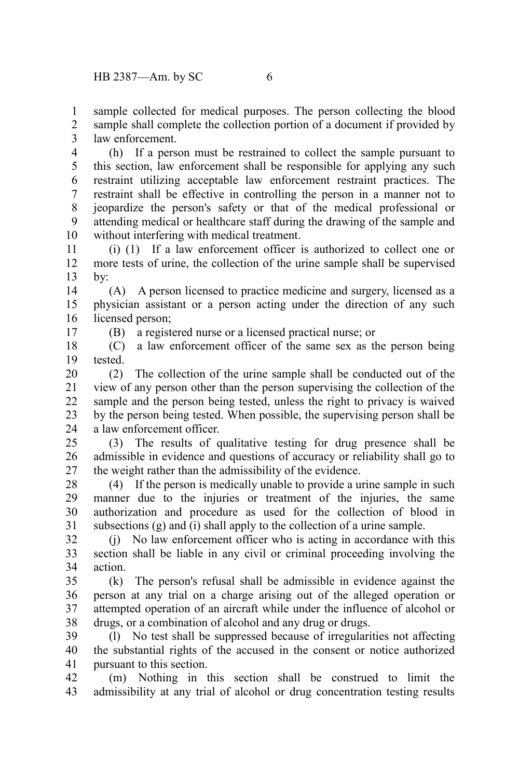sample collected for medical purposes. The person collecting the blood sample shall complete the collection portion of a document if provided by law enforcement. 1 2 3

(h) If a person must be restrained to collect the sample pursuant to this section, law enforcement shall be responsible for applying any such restraint utilizing acceptable law enforcement restraint practices. The restraint shall be effective in controlling the person in a manner not to jeopardize the person's safety or that of the medical professional or attending medical or healthcare staff during the drawing of the sample and without interfering with medical treatment. 4 5 6 7 8 9 10

(i) (1) If a law enforcement officer is authorized to collect one or more tests of urine, the collection of the urine sample shall be supervised by: 11 12 13

(A) A person licensed to practice medicine and surgery, licensed as a physician assistant or a person acting under the direction of any such licensed person; 14 15 16

(B) a registered nurse or a licensed practical nurse; or

(C) a law enforcement officer of the same sex as the person being tested. 18 19

(2) The collection of the urine sample shall be conducted out of the view of any person other than the person supervising the collection of the sample and the person being tested, unless the right to privacy is waived by the person being tested. When possible, the supervising person shall be a law enforcement officer. 20 21 22 23 24

(3) The results of qualitative testing for drug presence shall be admissible in evidence and questions of accuracy or reliability shall go to the weight rather than the admissibility of the evidence.  $25$ 26 27

(4) If the person is medically unable to provide a urine sample in such manner due to the injuries or treatment of the injuries, the same authorization and procedure as used for the collection of blood in subsections (g) and (i) shall apply to the collection of a urine sample. 28 29 30 31

(j) No law enforcement officer who is acting in accordance with this section shall be liable in any civil or criminal proceeding involving the action. 32 33 34

(k) The person's refusal shall be admissible in evidence against the person at any trial on a charge arising out of the alleged operation or attempted operation of an aircraft while under the influence of alcohol or drugs, or a combination of alcohol and any drug or drugs. 35 36 37 38

(l) No test shall be suppressed because of irregularities not affecting the substantial rights of the accused in the consent or notice authorized pursuant to this section. 39 40 41

(m) Nothing in this section shall be construed to limit the admissibility at any trial of alcohol or drug concentration testing results 42 43

17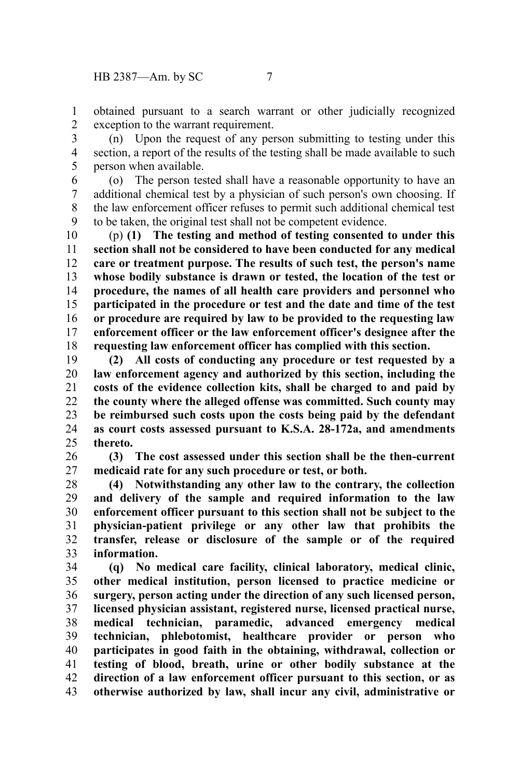obtained pursuant to a search warrant or other judicially recognized exception to the warrant requirement. 1 2

(n) Upon the request of any person submitting to testing under this section, a report of the results of the testing shall be made available to such person when available. 3 4 5

(o) The person tested shall have a reasonable opportunity to have an additional chemical test by a physician of such person's own choosing. If the law enforcement officer refuses to permit such additional chemical test to be taken, the original test shall not be competent evidence. 6 7 8 9

(p) **(1) The testing and method of testing consented to under this section shall not be considered to have been conducted for any medical care or treatment purpose. The results of such test, the person's name whose bodily substance is drawn or tested, the location of the test or procedure, the names of all health care providers and personnel who participated in the procedure or test and the date and time of the test or procedure are required by law to be provided to the requesting law enforcement officer or the law enforcement officer's designee after the requesting law enforcement officer has complied with this section.** 10 11 12 13 14 15 16 17 18

**(2) All costs of conducting any procedure or test requested by a law enforcement agency and authorized by this section, including the costs of the evidence collection kits, shall be charged to and paid by the county where the alleged offense was committed. Such county may be reimbursed such costs upon the costs being paid by the defendant as court costs assessed pursuant to K.S.A. 28-172a, and amendments thereto.** 19 20 21 22 23 24 25

**(3) The cost assessed under this section shall be the then-current medicaid rate for any such procedure or test, or both.** 26 27

**(4) Notwithstanding any other law to the contrary, the collection and delivery of the sample and required information to the law enforcement officer pursuant to this section shall not be subject to the physician-patient privilege or any other law that prohibits the transfer, release or disclosure of the sample or of the required information.** 28 29 30 31 32 33

**(q) No medical care facility, clinical laboratory, medical clinic, other medical institution, person licensed to practice medicine or surgery, person acting under the direction of any such licensed person, licensed physician assistant, registered nurse, licensed practical nurse, medical technician, paramedic, advanced emergency medical technician, phlebotomist, healthcare provider or person who participates in good faith in the obtaining, withdrawal, collection or testing of blood, breath, urine or other bodily substance at the direction of a law enforcement officer pursuant to this section, or as otherwise authorized by law, shall incur any civil, administrative or** 34 35 36 37 38 39 40 41 42 43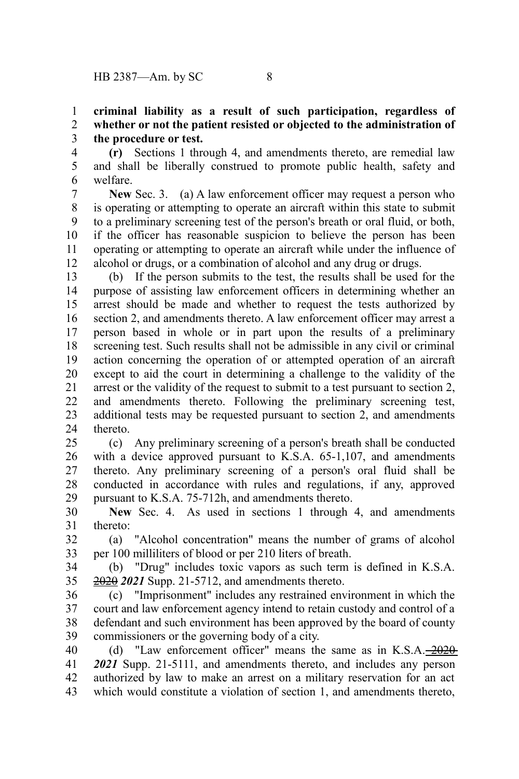## **criminal liability as a result of such participation, regardless of whether or not the patient resisted or objected to the administration of the procedure or test.** 1 2 3

**(r)** Sections 1 through 4, and amendments thereto, are remedial law and shall be liberally construed to promote public health, safety and welfare. 4 5 6

**New** Sec. 3. (a) A law enforcement officer may request a person who is operating or attempting to operate an aircraft within this state to submit to a preliminary screening test of the person's breath or oral fluid, or both, if the officer has reasonable suspicion to believe the person has been operating or attempting to operate an aircraft while under the influence of alcohol or drugs, or a combination of alcohol and any drug or drugs. 7 8 9 10 11 12

(b) If the person submits to the test, the results shall be used for the purpose of assisting law enforcement officers in determining whether an arrest should be made and whether to request the tests authorized by section 2, and amendments thereto. A law enforcement officer may arrest a person based in whole or in part upon the results of a preliminary screening test. Such results shall not be admissible in any civil or criminal action concerning the operation of or attempted operation of an aircraft except to aid the court in determining a challenge to the validity of the arrest or the validity of the request to submit to a test pursuant to section 2, and amendments thereto. Following the preliminary screening test, additional tests may be requested pursuant to section 2, and amendments thereto. 13 14 15 16 17 18 19 20 21 22 23 24

(c) Any preliminary screening of a person's breath shall be conducted with a device approved pursuant to K.S.A. 65-1,107, and amendments thereto. Any preliminary screening of a person's oral fluid shall be conducted in accordance with rules and regulations, if any, approved pursuant to K.S.A. 75-712h, and amendments thereto. 25 26 27 28 29

**New** Sec. 4. As used in sections 1 through 4, and amendments thereto: 30 31

(a) "Alcohol concentration" means the number of grams of alcohol per 100 milliliters of blood or per 210 liters of breath. 32 33

(b) "Drug" includes toxic vapors as such term is defined in K.S.A. 2020 *2021* Supp. 21-5712, and amendments thereto. 34 35

(c) "Imprisonment" includes any restrained environment in which the court and law enforcement agency intend to retain custody and control of a defendant and such environment has been approved by the board of county commissioners or the governing body of a city. 36 37 38 39

(d) "Law enforcement officer" means the same as in  $K.S.A. -2020$ *2021* Supp. 21-5111, and amendments thereto, and includes any person authorized by law to make an arrest on a military reservation for an act which would constitute a violation of section 1, and amendments thereto, 40 41 42 43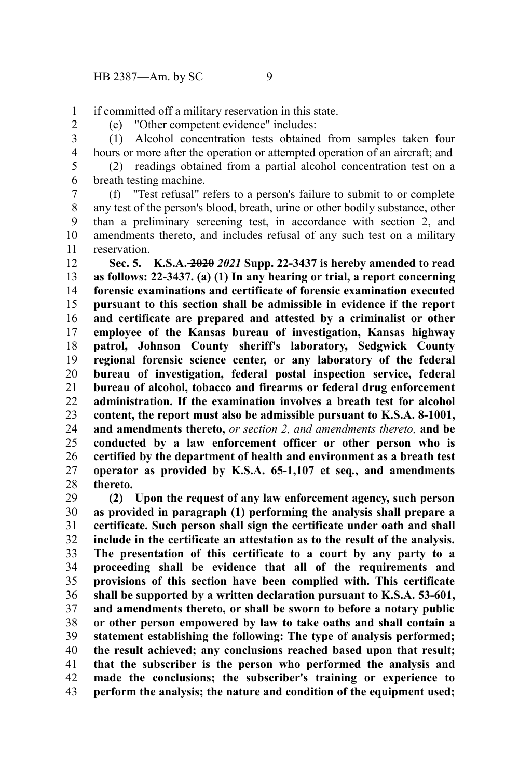if committed off a military reservation in this state. 1

2

(e) "Other competent evidence" includes: (1) Alcohol concentration tests obtained from samples taken four 3

4 5

hours or more after the operation or attempted operation of an aircraft; and (2) readings obtained from a partial alcohol concentration test on a breath testing machine. 6

(f) "Test refusal" refers to a person's failure to submit to or complete any test of the person's blood, breath, urine or other bodily substance, other than a preliminary screening test, in accordance with section 2, and amendments thereto, and includes refusal of any such test on a military reservation. 7 8 9 10 11

**Sec. 5. K.S.A. 2020** *2021* **Supp. 22-3437 is hereby amended to read as follows: 22-3437. (a) (1) In any hearing or trial, a report concerning forensic examinations and certificate of forensic examination executed pursuant to this section shall be admissible in evidence if the report and certificate are prepared and attested by a criminalist or other employee of the Kansas bureau of investigation, Kansas highway patrol, Johnson County sheriff's laboratory, Sedgwick County regional forensic science center, or any laboratory of the federal bureau of investigation, federal postal inspection service, federal bureau of alcohol, tobacco and firearms or federal drug enforcement administration. If the examination involves a breath test for alcohol content, the report must also be admissible pursuant to K.S.A. 8-1001, and amendments thereto,** *or section 2, and amendments thereto,* **and be conducted by a law enforcement officer or other person who is certified by the department of health and environment as a breath test operator as provided by K.S.A. 65-1,107 et seq***.***, and amendments thereto.** 12 13 14 15 16 17 18 19 20 21 22 23 24 25 26 27 28

**(2) Upon the request of any law enforcement agency, such person as provided in paragraph (1) performing the analysis shall prepare a certificate. Such person shall sign the certificate under oath and shall include in the certificate an attestation as to the result of the analysis. The presentation of this certificate to a court by any party to a proceeding shall be evidence that all of the requirements and provisions of this section have been complied with. This certificate shall be supported by a written declaration pursuant to K.S.A. 53-601, and amendments thereto, or shall be sworn to before a notary public or other person empowered by law to take oaths and shall contain a statement establishing the following: The type of analysis performed; the result achieved; any conclusions reached based upon that result; that the subscriber is the person who performed the analysis and made the conclusions; the subscriber's training or experience to perform the analysis; the nature and condition of the equipment used;** 29 30 31 32 33 34 35 36 37 38 39 40 41 42 43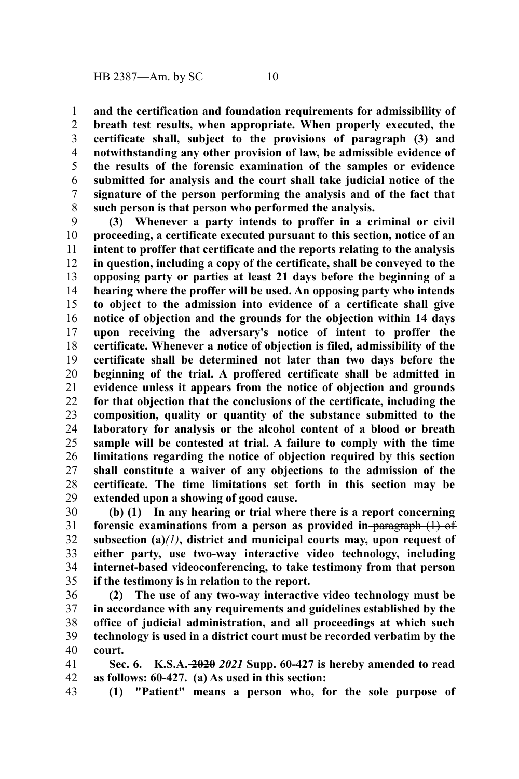**and the certification and foundation requirements for admissibility of breath test results, when appropriate. When properly executed, the certificate shall, subject to the provisions of paragraph (3) and notwithstanding any other provision of law, be admissible evidence of the results of the forensic examination of the samples or evidence submitted for analysis and the court shall take judicial notice of the signature of the person performing the analysis and of the fact that such person is that person who performed the analysis.** 1 2 3 4 5 6 7 8

**(3) Whenever a party intends to proffer in a criminal or civil proceeding, a certificate executed pursuant to this section, notice of an intent to proffer that certificate and the reports relating to the analysis in question, including a copy of the certificate, shall be conveyed to the opposing party or parties at least 21 days before the beginning of a hearing where the proffer will be used. An opposing party who intends to object to the admission into evidence of a certificate shall give notice of objection and the grounds for the objection within 14 days upon receiving the adversary's notice of intent to proffer the certificate. Whenever a notice of objection is filed, admissibility of the certificate shall be determined not later than two days before the beginning of the trial. A proffered certificate shall be admitted in evidence unless it appears from the notice of objection and grounds for that objection that the conclusions of the certificate, including the composition, quality or quantity of the substance submitted to the laboratory for analysis or the alcohol content of a blood or breath sample will be contested at trial. A failure to comply with the time limitations regarding the notice of objection required by this section shall constitute a waiver of any objections to the admission of the certificate. The time limitations set forth in this section may be extended upon a showing of good cause.** 9 10 11 12 13 14 15 16 17 18 19 20 21 22 23 24 25 26 27 28 29

**(b) (1) In any hearing or trial where there is a report concerning** forensic examinations from a person as provided in paragraph (1) of **subsection (a)***(1)***, district and municipal courts may, upon request of either party, use two-way interactive video technology, including internet-based videoconferencing, to take testimony from that person if the testimony is in relation to the report.** 30 31 32 33 34 35

**(2) The use of any two-way interactive video technology must be in accordance with any requirements and guidelines established by the office of judicial administration, and all proceedings at which such technology is used in a district court must be recorded verbatim by the court.** 36 37 38 39 40

**Sec. 6. K.S.A. 2020** *2021* **Supp. 60-427 is hereby amended to read as follows: 60-427. (a) As used in this section:** 41 42

**(1) "Patient" means a person who, for the sole purpose of** 43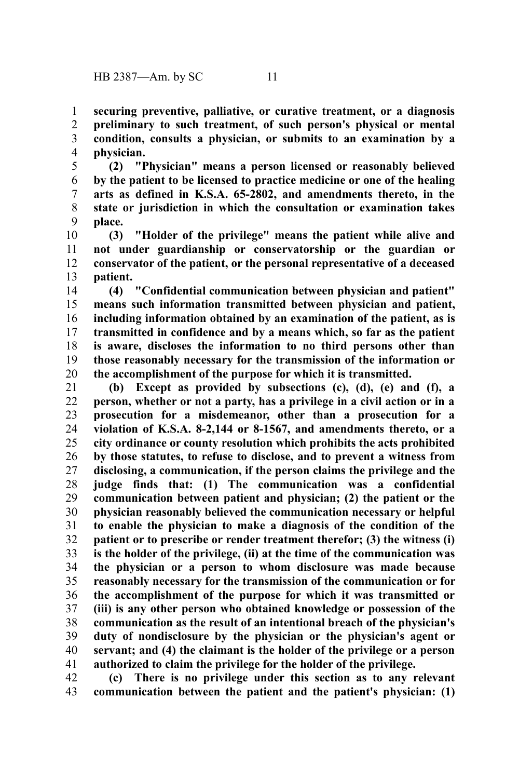**securing preventive, palliative, or curative treatment, or a diagnosis preliminary to such treatment, of such person's physical or mental condition, consults a physician, or submits to an examination by a physician.** 1 2 3 4

**(2) "Physician" means a person licensed or reasonably believed by the patient to be licensed to practice medicine or one of the healing arts as defined in K.S.A. 65-2802, and amendments thereto, in the state or jurisdiction in which the consultation or examination takes place.** 5 6 7 8 9

**(3) "Holder of the privilege" means the patient while alive and not under guardianship or conservatorship or the guardian or conservator of the patient, or the personal representative of a deceased patient.** 10 11 12 13

**(4) "Confidential communication between physician and patient" means such information transmitted between physician and patient, including information obtained by an examination of the patient, as is transmitted in confidence and by a means which, so far as the patient is aware, discloses the information to no third persons other than those reasonably necessary for the transmission of the information or the accomplishment of the purpose for which it is transmitted.** 14 15 16 17 18 19 20

**(b) Except as provided by subsections (c), (d), (e) and (f), a person, whether or not a party, has a privilege in a civil action or in a prosecution for a misdemeanor, other than a prosecution for a violation of K.S.A. 8-2,144 or 8-1567, and amendments thereto, or a city ordinance or county resolution which prohibits the acts prohibited by those statutes, to refuse to disclose, and to prevent a witness from disclosing, a communication, if the person claims the privilege and the judge finds that: (1) The communication was a confidential communication between patient and physician; (2) the patient or the physician reasonably believed the communication necessary or helpful to enable the physician to make a diagnosis of the condition of the patient or to prescribe or render treatment therefor; (3) the witness (i) is the holder of the privilege, (ii) at the time of the communication was the physician or a person to whom disclosure was made because reasonably necessary for the transmission of the communication or for the accomplishment of the purpose for which it was transmitted or (iii) is any other person who obtained knowledge or possession of the communication as the result of an intentional breach of the physician's duty of nondisclosure by the physician or the physician's agent or servant; and (4) the claimant is the holder of the privilege or a person authorized to claim the privilege for the holder of the privilege.** 21 22 23 24 25 26 27 28 29 30 31 32 33 34 35 36 37 38 39 40 41

**(c) There is no privilege under this section as to any relevant communication between the patient and the patient's physician: (1)** 42 43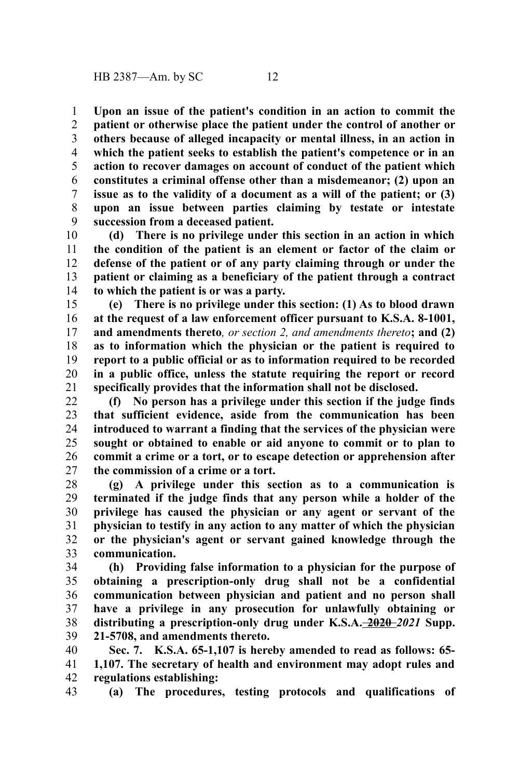**Upon an issue of the patient's condition in an action to commit the patient or otherwise place the patient under the control of another or others because of alleged incapacity or mental illness, in an action in which the patient seeks to establish the patient's competence or in an action to recover damages on account of conduct of the patient which constitutes a criminal offense other than a misdemeanor; (2) upon an issue as to the validity of a document as a will of the patient; or (3) upon an issue between parties claiming by testate or intestate succession from a deceased patient.** 1 2 3 4 5 6 7 8 9

**(d) There is no privilege under this section in an action in which the condition of the patient is an element or factor of the claim or defense of the patient or of any party claiming through or under the patient or claiming as a beneficiary of the patient through a contract to which the patient is or was a party.** 10 11 12 13 14

**(e) There is no privilege under this section: (1) As to blood drawn at the request of a law enforcement officer pursuant to K.S.A. 8-1001, and amendments thereto***, or section 2, and amendments thereto***; and (2) as to information which the physician or the patient is required to report to a public official or as to information required to be recorded in a public office, unless the statute requiring the report or record specifically provides that the information shall not be disclosed.** 15 16 17 18 19 20 21

**(f) No person has a privilege under this section if the judge finds that sufficient evidence, aside from the communication has been introduced to warrant a finding that the services of the physician were sought or obtained to enable or aid anyone to commit or to plan to commit a crime or a tort, or to escape detection or apprehension after the commission of a crime or a tort.** 22 23 24 25 26 27

**(g) A privilege under this section as to a communication is terminated if the judge finds that any person while a holder of the privilege has caused the physician or any agent or servant of the physician to testify in any action to any matter of which the physician or the physician's agent or servant gained knowledge through the communication.** 28 29 30 31 32 33

**(h) Providing false information to a physician for the purpose of obtaining a prescription-only drug shall not be a confidential communication between physician and patient and no person shall have a privilege in any prosecution for unlawfully obtaining or distributing a prescription-only drug under K.S.A. 2020** *2021* **Supp. 21-5708, and amendments thereto.** 34 35 36 37 38 39

**Sec. 7. K.S.A. 65-1,107 is hereby amended to read as follows: 65- 1,107. The secretary of health and environment may adopt rules and regulations establishing:** 40 41 42

**(a) The procedures, testing protocols and qualifications of** 43